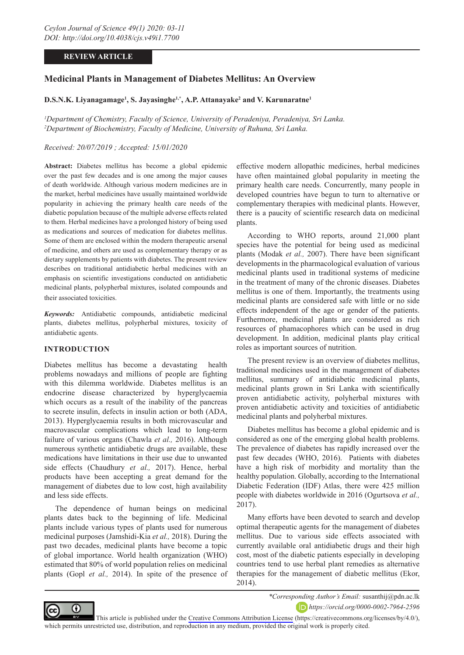# **REVIEW ARTICLE**

# **Medicinal Plants in Management of Diabetes Mellitus: An Overview**

# **D.S.N.K. Liyanagamage1 , S. Jayasinghe1,\*, A.P. Attanayake2 and V. Karunaratne1**

*1 Department of Chemistry, Faculty of Science, University of Peradeniya, Peradeniya, Sri Lanka. 2 Department of Biochemistry, Faculty of Medicine, University of Ruhuna, Sri Lanka.*

# *Received: 20/07/2019 ; Accepted: 15/01/2020*

**Abstract:** Diabetes mellitus has become a global epidemic over the past few decades and is one among the major causes of death worldwide. Although various modern medicines are in the market, herbal medicines have usually maintained worldwide popularity in achieving the primary health care needs of the diabetic population because of the multiple adverse effects related to them. Herbal medicines have a prolonged history of being used as medications and sources of medication for diabetes mellitus. Some of them are enclosed within the modern therapeutic arsenal of medicine, and others are used as complementary therapy or as dietary supplements by patients with diabetes. The present review describes on traditional antidiabetic herbal medicines with an emphasis on scientific investigations conducted on antidiabetic medicinal plants, polypherbal mixtures, isolated compounds and their associated toxicities.

*Keywords:* Antidiabetic compounds, antidiabetic medicinal plants, diabetes mellitus, polypherbal mixtures, toxicity of antidiabetic agents.

### **INTRODUCTION**

Diabetes mellitus has become a devastating health problems nowadays and millions of people are fighting with this dilemma worldwide. Diabetes mellitus is an endocrine disease characterized by hyperglycaemia which occurs as a result of the inability of the pancreas to secrete insulin, defects in insulin action or both (ADA, 2013). Hyperglycaemia results in both microvascular and macrovascular complications which lead to long-term failure of various organs (Chawla *et al.,* 2016). Although numerous synthetic antidiabetic drugs are available, these medications have limitations in their use due to unwanted side effects (Chaudhury *et al.,* 2017). Hence, herbal products have been accepting a great demand for the management of diabetes due to low cost, high availability and less side effects.

The dependence of human beings on medicinal plants dates back to the beginning of life. Medicinal plants include various types of plants used for numerous medicinal purposes (Jamshidi-Kia *et al.,* 2018). During the past two decades, medicinal plants have become a topic of global importance. World health organization (WHO) estimated that 80% of world population relies on medicinal plants (Gopl *et al.,* 2014). In spite of the presence of effective modern allopathic medicines, herbal medicines have often maintained global popularity in meeting the primary health care needs. Concurrently, many people in developed countries have begun to turn to alternative or complementary therapies with medicinal plants. However, there is a paucity of scientific research data on medicinal plants.

According to WHO reports, around 21,000 plant species have the potential for being used as medicinal plants (Modak *et al.,* 2007). There have been significant developments in the pharmacological evaluation of various medicinal plants used in traditional systems of medicine in the treatment of many of the chronic diseases. Diabetes mellitus is one of them. Importantly, the treatments using medicinal plants are considered safe with little or no side effects independent of the age or gender of the patients. Furthermore, medicinal plants are considered as rich resources of phamacophores which can be used in drug development. In addition, medicinal plants play critical roles as important sources of nutrition.

The present review is an overview of diabetes mellitus, traditional medicines used in the management of diabetes mellitus, summary of antidiabetic medicinal plants, medicinal plants grown in Sri Lanka with scientifically proven antidiabetic activity, polyherbal mixtures with proven antidiabetic activity and toxicities of antidiabetic medicinal plants and polyherbal mixtures.

Diabetes mellitus has become a global epidemic and is considered as one of the emerging global health problems. The prevalence of diabetes has rapidly increased over the past few decades (WHO, 2016). Patients with diabetes have a high risk of morbidity and mortality than the healthy population. Globally, according to the International Diabetic Federation (IDF) Atlas, there were 425 million people with diabetes worldwide in 2016 (Ogurtsova *et al.,* 2017).

Many efforts have been devoted to search and develop optimal therapeutic agents for the management of diabetes mellitus. Due to various side effects associated with currently available oral antidiabetic drugs and their high cost, most of the diabetic patients especially in developing countries tend to use herbal plant remedies as alternative therapies for the management of diabetic mellitus (Ekor, 2014).



*\*Corresponding Author's Email:* susanthij@pdn.ac.lk *https://orcid.org/0000-0002-7964-2596*

This article is published under the [Creative Commons Attribution License](https://creativecommons.org/licenses/by/4.0/) (https://creativecommons.org/licenses/by/4.0/), which permits unrestricted use, distribution, and reproduction in any medium, provided the original work is properly cited.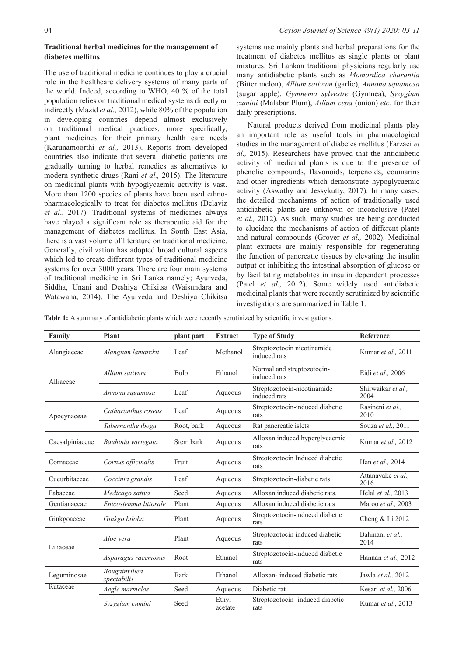### **Traditional herbal medicines for the management of diabetes mellitus**

The use of traditional medicine continues to play a crucial role in the healthcare delivery systems of many parts of the world. Indeed, according to WHO, 40 % of the total population relies on traditional medical systems directly or indirectly (Mazid *et al.,* 2012), while 80% of the population in developing countries depend almost exclusively on traditional medical practices, more specifically, plant medicines for their primary health care needs (Karunamoorthi *et al.,* 2013). Reports from developed countries also indicate that several diabetic patients are gradually turning to herbal remedies as alternatives to modern synthetic drugs (Rani *et al.,* 2015). The literature on medicinal plants with hypoglycaemic activity is vast. More than 1200 species of plants have been used ethnopharmacologically to treat for diabetes mellitus (Delaviz *et al*., 2017). Traditional systems of medicines always have played a significant role as therapeutic aid for the management of diabetes mellitus. In South East Asia, there is a vast volume of literature on traditional medicine. Generally, civilization has adopted broad cultural aspects which led to create different types of traditional medicine systems for over 3000 years. There are four main systems of traditional medicine in Sri Lanka namely; Ayurveda, Siddha, Unani and Deshiya Chikitsa (Waisundara and Watawana, 2014). The Ayurveda and Deshiya Chikitsa

systems use mainly plants and herbal preparations for the treatment of diabetes mellitus as single plants or plant mixtures. Sri Lankan traditional physicians regularly use many antidiabetic plants such as *Momordica charantia* (Bitter melon), *Allium sativum* (garlic), *Annona squamosa* (sugar apple), *Gymnema sylvestre* (Gymnea), *Syzygium cumini* (Malabar Plum), *Allium cepa* (onion) *etc.* for their daily prescriptions.

Natural products derived from medicinal plants play an important role as useful tools in pharmacological studies in the management of diabetes mellitus (Farzaei *et al.,* 2015). Researchers have proved that the antidiabetic activity of medicinal plants is due to the presence of phenolic compounds, flavonoids, terpenoids, coumarins and other ingredients which demonstrate hypoglycaemic activity (Aswathy and Jessykutty, 2017). In many cases, the detailed mechanisms of action of traditionally used antidiabetic plants are unknown or inconclusive (Patel *et al.,* 2012). As such, many studies are being conducted to elucidate the mechanisms of action of different plants and natural compounds (Grover *et al.,* 2002). Medicinal plant extracts are mainly responsible for regenerating the function of pancreatic tissues by elevating the insulin output or inhibiting the intestinal absorption of glucose or by facilitating metabolites in insulin dependent processes (Patel *et al.,* 2012). Some widely used antidiabetic medicinal plants that were recently scrutinized by scientific investigations are summarized in Table 1.

**Table 1:** A summary of antidiabetic plants which were recently scrutinized by scientific investigations.

| Family          | <b>Plant</b>                 | plant part  | <b>Extract</b>   | <b>Type of Study</b>                        | Reference                  |  |
|-----------------|------------------------------|-------------|------------------|---------------------------------------------|----------------------------|--|
| Alangiaceae     | Alangium lamarckii           | Leaf        | Methanol         | Streptozotocin nicotinamide<br>induced rats | Kumar et al., 2011         |  |
| Alliaceae       | Allium sativum               | <b>Bulb</b> | Ethanol          | Normal and streptozotocin-<br>induced rats  | Eidi et al., 2006          |  |
|                 | Annona squamosa              | Leaf        | Aqueous          | Streptozotocin-nicotinamide<br>induced rats | Shirwaikar et al.,<br>2004 |  |
| Apocynaceae     | Catharanthus roseus          | Leaf        | Aqueous          | Streptozotocin-induced diabetic<br>rats     | Rasineni et al.,<br>2010   |  |
|                 | Tabernanthe iboga            | Root, bark  | Aqueous          | Rat pancreatic islets                       | Souza et al., 2011         |  |
| Caesalpiniaceae | Bauhinia variegata           | Stem bark   | Aqueous          | Alloxan induced hyperglycaemic<br>rats      | Kumar et al., 2012         |  |
| Cornaceae       | Cornus officinalis           | Fruit       | Aqueous          | Streotozotocin Induced diabetic<br>rats     | Han et al., 2014           |  |
| Cucurbitaceae   | Coccinia grandis             | Leaf        | Aqueous          | Streptozotocin-diabetic rats                | Attanayake et al.,<br>2016 |  |
| Fabaceae        | Medicago sativa              | Seed        | Aqueous          | Alloxan induced diabetic rats.              | Helal et al., 2013         |  |
| Gentianaceae    | Enicostemma littorale        | Plant       | Aqueous          | Alloxan induced diabetic rats               | Maroo et al., 2003         |  |
| Ginkgoaceae     | Ginkgo biloba                | Plant       | Aqueous          | Streptozotocin-induced diabetic<br>rats     | Cheng & Li 2012            |  |
| Liliaceae       | Aloe vera                    | Plant       | Aqueous          | Streptozotocin induced diabetic<br>rats     | Bahmani et al.,<br>2014    |  |
|                 | Asparagus racemosus          | Root        | Ethanol          | Streptozotocin-induced diabetic<br>rats     | Hannan et al., 2012        |  |
| Leguminosae     | Bougainvillea<br>spectabilis | <b>Bark</b> | Ethanol          | Alloxan-induced diabetic rats               | Jawla et al., 2012         |  |
| Rutaceae        | Aegle marmelos               | Seed        | Aqueous          | Diabetic rat                                | Kesari et al., 2006        |  |
|                 | Syzygium cumini              | Seed        | Ethyl<br>acetate | Streptozotocin- induced diabetic<br>rats    | Kumar et al., 2013         |  |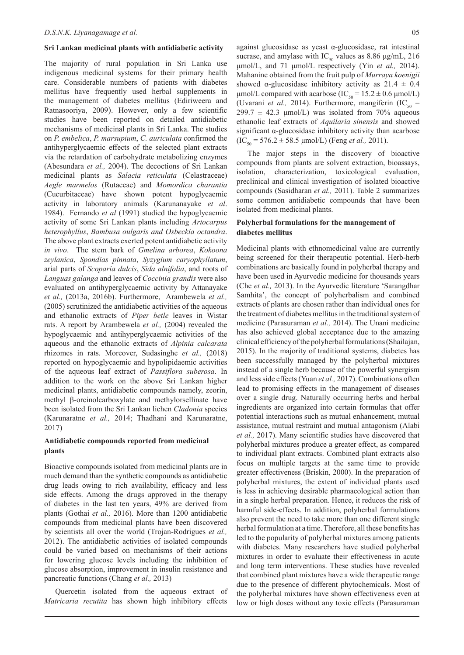#### **Sri Lankan medicinal plants with antidiabetic activity**

The majority of rural population in Sri Lanka use indigenous medicinal systems for their primary health care. Considerable numbers of patients with diabetes mellitus have frequently used herbal supplements in the management of diabetes mellitus (Ediriweera and Ratnasooriya, 2009). However, only a few scientific studies have been reported on detailed antidiabetic mechanisms of medicinal plants in Sri Lanka. The studies on *P. embelica*, *P. marsupium*, *C. auriculata* confirmed the antihyperglycaemic effects of the selected plant extracts via the retardation of carbohydrate metabolizing enzymes (Abesundara *et al.,* 2004). The decoctions of Sri Lankan medicinal plants as *Salacia reticulata* (Celastraceae) *Aegle marmelos* (Rutaceae) and *Momordica charantia* (Cucurbitaceae) have shown potent hypoglycaemic activity in laboratory animals (Karunanayake *et al*. 1984). Fernando *et al* (1991) studied the hypoglycaemic activity of some Sri Lankan plants including *Artocarpus heterophyllus*, *Bambusa oulgaris and Osbeckia octandra*. The above plant extracts exerted potent antidiabetic activity *in vivo*. The stem bark of *Gmelina arborea*, *Kokoona zeylanica*, *Spondias pinnata*, *Syzygium caryophyllatum*, arial parts of *Scoparia dulcis*, *Sida alnifolia*, and roots of *Languas galanga* and leaves of *Coccinia grandis* were also evaluated on antihyperglycaemic activity by Attanayake *et al.,* (2013a, 2016b). Furthermore, Arambewela *et al.,* (2005) scrutinized the antidiabetic activities of the aqueous and ethanolic extracts of *Piper betle* leaves in Wistar rats. A report by Arambewela *et al.,* (2004) revealed the hypoglycaemic and antihyperglycaemic activities of the aqueous and the ethanolic extracts of *Alpinia calcarata* rhizomes in rats. Moreover, Sudasinghe *et al.,* (2018) reported on hypoglycaemic and hypolipidaemic activities of the aqueous leaf extract of *Passiflora suberosa*. In addition to the work on the above Sri Lankan higher medicinal plants, antidiabetic compounds namely, zeorin, methyl β-orcinolcarboxylate and methylorsellinate have been isolated from the Sri Lankan lichen *Cladonia* species (Karunaratne *et al.,* 2014; Thadhani and Karunaratne, 2017)

# **Antidiabetic compounds reported from medicinal plants**

Bioactive compounds isolated from medicinal plants are in much demand than the synthetic compounds as antidiabetic drug leads owing to rich availability, efficacy and less side effects. Among the drugs approved in the therapy of diabetes in the last ten years, 49% are derived from plants (Gothai *et al.,* 2016). More than 1200 antidiabetic compounds from medicinal plants have been discovered by scientists all over the world (Trojan-Rodrigues *et al.,* 2012). The antidiabetic activities of isolated compounds could be varied based on mechanisms of their actions for lowering glucose levels including the inhibition of glucose absorption, improvement in insulin resistance and pancreatic functions (Chang *et al.,* 2013)

Quercetin isolated from the aqueous extract of *Matricaria recutita* has shown high inhibitory effects

against glucosidase as yeast α-glucosidase, rat intestinal sucrase, and amylase with IC<sub>50</sub> values as 8.86  $\mu$ g/mL, 216 μmol/L, and 71 μmol/L respectively (Yin *et al.,* 2014). Mahanine obtained from the fruit pulp of *Murraya koenigii* showed  $\alpha$ -glucosidase inhibitory activity as 21.4  $\pm$  0.4 μmol/L compared with acarbose (IC<sub>50</sub> = 15.2 ± 0.6 μmol/L) (Uvarani *et al.*, 2014). Furthermore, mangiferin (IC<sub>50</sub> =  $299.7 \pm 42.3 \text{ \mu}$  mol/L) was isolated from 70% aqueous ethanolic leaf extracts of *Aquilaria sinensis* and showed significant α-glucosidase inhibitory activity than acarbose  $(IC_{50} = 576.2 \pm 58.5 \text{ µmol/L})$  (Feng *et al.*, 2011).

The major steps in the discovery of bioactive compounds from plants are solvent extraction, bioassays, isolation, characterization, toxicological evaluation, preclinical and clinical investigation of isolated bioactive compounds (Sasidharan *et al.,* 2011). Table 2 summarizes some common antidiabetic compounds that have been isolated from medicinal plants.

# **Polyherbal formulations for the management of diabetes mellitus**

Medicinal plants with ethnomedicinal value are currently being screened for their therapeutic potential. Herb-herb combinations are basically found in polyherbal therapy and have been used in Ayurvedic medicine for thousands years (Che *et al.,* 2013). In the Ayurvedic literature 'Sarangdhar Samhita', the concept of polyherbalism and combined extracts of plants are chosen rather than individual ones for the treatment of diabetes mellitus in the traditional system of medicine (Parasuraman *et al.,* 2014). The Unani medicine has also achieved global acceptance due to the amazing clinical efficiency of the polyherbal formulations (Shailajan, 2015). In the majority of traditional systems, diabetes has been successfully managed by the polyherbal mixtures instead of a single herb because of the powerful synergism and less side effects (Yuan *et al.,* 2017). Combinations often lead to promising effects in the management of diseases over a single drug. Naturally occurring herbs and herbal ingredients are organized into certain formulas that offer potential interactions such as mutual enhancement, mutual assistance, mutual restraint and mutual antagonism (Alabi *et al.,* 2017). Many scientific studies have discovered that polyherbal mixtures produce a greater effect, as compared to individual plant extracts. Combined plant extracts also focus on multiple targets at the same time to provide greater effectiveness (Briskin, 2000). In the preparation of polyherbal mixtures, the extent of individual plants used is less in achieving desirable pharmacological action than in a single herbal preparation. Hence, it reduces the risk of harmful side-effects. In addition, polyherbal formulations also prevent the need to take more than one different single herbal formulation at a time. Therefore, all these benefits has led to the popularity of polyherbal mixtures among patients with diabetes. Many researchers have studied polyherbal mixtures in order to evaluate their effectiveness in acute and long term interventions. These studies have revealed that combined plant mixtures have a wide therapeutic range due to the presence of different phytochemicals. Most of the polyherbal mixtures have shown effectiveness even at low or high doses without any toxic effects (Parasuraman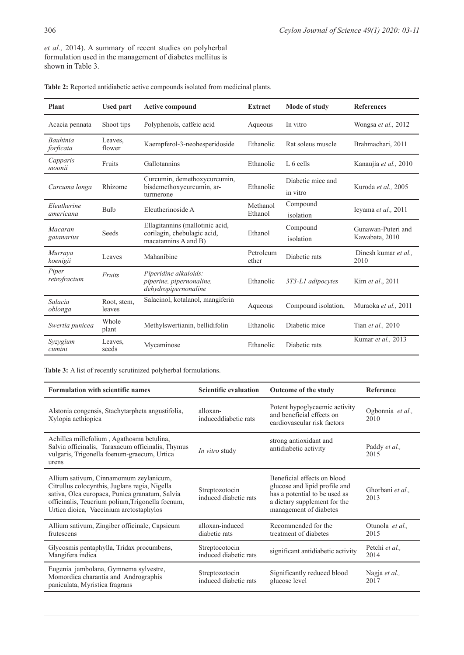*et al.,* 2014). A summary of recent studies on polyherbal formulation used in the management of diabetes mellitus is shown in Table 3.

| Plant                        | <b>Used part</b>      | <b>Active compound</b>                                                                 | <b>Extract</b>      | Mode of study                 | <b>References</b>                    |
|------------------------------|-----------------------|----------------------------------------------------------------------------------------|---------------------|-------------------------------|--------------------------------------|
| Acacia pennata               | Shoot tips            | Polyphenols, caffeic acid                                                              | Aqueous             | In vitro                      | Wongsa et al., 2012                  |
| <b>Bauhinia</b><br>forficata | Leaves.<br>flower     | Kaempferol-3-neohesperidoside                                                          | Ethanolic           | Rat soleus muscle             | Brahmachari, 2011                    |
| Capparis<br>moonii           | Fruits                | Gallotannins                                                                           | Ethanolic           | L <sub>6</sub> cells          | Kanaujia et al., 2010                |
| Curcuma longa                | Rhizome               | Curcumin, demethoxycurcumin,<br>bisdemethoxycurcumin, ar-<br>turmerone                 | Ethanolic           | Diabetic mice and<br>in vitro | Kuroda et al., 2005                  |
| Eleutherine<br>americana     | Bulb                  | Eleutherinoside A                                                                      | Methanol<br>Ethanol | Compound<br>isolation         | Ieyama et al., 2011                  |
| Macaran<br>gatanarius        | Seeds                 | Ellagitannins (mallotinic acid,<br>corilagin, chebulagic acid,<br>macatannins A and B) | Ethanol             | Compound<br>isolation         | Gunawan-Puteri and<br>Kawabata, 2010 |
| Murraya<br>koenigii          | Leaves                | Mahanibine                                                                             | Petroleum<br>ether  | Diabetic rats                 | Dinesh kumar et al.,<br>2010         |
| Piper<br>retrofractum        | Fruits                | Piperidine alkaloids:<br>piperine, pipernonaline,<br>dehydropipernonaline              | Ethanolic           | 3T3-L1 adipocytes             | Kim et al., 2011                     |
| Salacia<br>oblonga           | Root, stem,<br>leaves | Salacinol, kotalanol, mangiferin                                                       | Aqueous             | Compound isolation,           | Muraoka et al., 2011                 |
| Swertia punicea              | Whole<br>plant        | Methylswertianin, bellidifolin                                                         | Ethanolic           | Diabetic mice                 | Tian et al., 2010                    |
| Syzygium<br>cumini           | Leaves,<br>seeds      | Mycaminose                                                                             | Ethanolic           | Diabetic rats                 | Kumar et al., 2013                   |

|  |  | <b>Table 2:</b> Reported antidiabetic active compounds isolated from medicinal plants. |  |  |
|--|--|----------------------------------------------------------------------------------------|--|--|
|--|--|----------------------------------------------------------------------------------------|--|--|

**Table 3:** A list of recently scrutinized polyherbal formulations.

| Formulation with scientific names                                                                                                                                                                                                        | <b>Scientific evaluation</b>            | <b>Outcome of the study</b>                                                                                                                             | <b>Reference</b>         |
|------------------------------------------------------------------------------------------------------------------------------------------------------------------------------------------------------------------------------------------|-----------------------------------------|---------------------------------------------------------------------------------------------------------------------------------------------------------|--------------------------|
| Alstonia congensis, Stachytarpheta angustifolia,<br>Xylopia aethiopica                                                                                                                                                                   | alloxan-<br>induceddiabetic rats        | Potent hypoglycaemic activity<br>and beneficial effects on<br>cardiovascular risk factors                                                               | Ogbonnia et al.,<br>2010 |
| Achillea millefolium, Agathosma betulina,<br>Salvia officinalis, Taraxacum officinalis, Thymus<br>vulgaris, Trigonella foenum-graecum, Urtica<br>urens                                                                                   | <i>In vitro</i> study                   | strong antioxidant and<br>antidiabetic activity                                                                                                         | Paddy et al.,<br>2015    |
| Allium sativum, Cinnamomum zeylanicum,<br>Citrullus colocynthis, Juglans regia, Nigella<br>sativa, Olea europaea, Punica granatum, Salvia<br>officinalis, Teucrium polium, Trigonella foenum,<br>Urtica dioica, Vaccinium arctostaphylos | Streptozotocin<br>induced diabetic rats | Beneficial effects on blood<br>glucose and lipid profile and<br>has a potential to be used as<br>a dietary supplement for the<br>management of diabetes | Ghorbani et al.,<br>2013 |
| Allium sativum, Zingiber officinale, Capsicum<br>frutescens                                                                                                                                                                              | alloxan-induced<br>diabetic rats        | Recommended for the<br>treatment of diabetes                                                                                                            | Otunola et al.,<br>2015  |
| Glycosmis pentaphylla, Tridax procumbens,<br>Mangifera indica                                                                                                                                                                            | Streptocotocin<br>induced diabetic rats | significant antidiabetic activity                                                                                                                       | Petchi et al.,<br>2014   |
| Eugenia jambolana, Gymnema sylvestre,<br>Momordica charantia and Andrographis<br>paniculata, Myristica fragrans                                                                                                                          | Streptozotocin<br>induced diabetic rats | Significantly reduced blood<br>glucose level                                                                                                            | Nagja et al.,<br>2017    |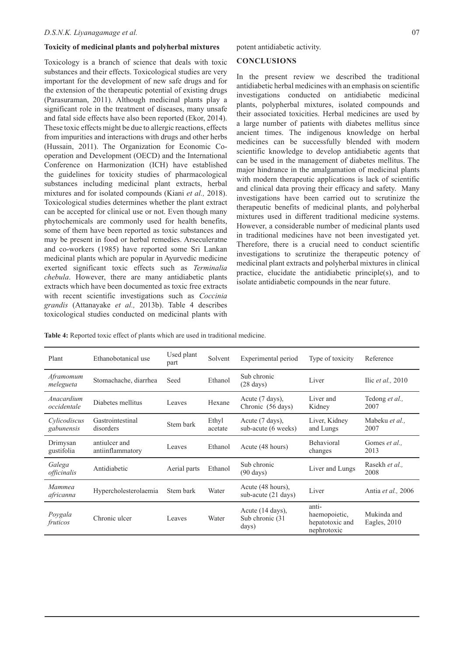## **Toxicity of medicinal plants and polyherbal mixtures**

Toxicology is a branch of science that deals with toxic substances and their effects. Toxicological studies are very important for the development of new safe drugs and for the extension of the therapeutic potential of existing drugs (Parasuraman, 2011). Although medicinal plants play a significant role in the treatment of diseases, many unsafe and fatal side effects have also been reported (Ekor, 2014). These toxic effects might be due to allergic reactions, effects from impurities and interactions with drugs and other herbs (Hussain, 2011). The Organization for Economic Cooperation and Development (OECD) and the International Conference on Harmonization (ICH) have established the guidelines for toxicity studies of pharmacological substances including medicinal plant extracts, herbal mixtures and for isolated compounds (Kiani *et al.,* 2018). Toxicological studies determines whether the plant extract can be accepted for clinical use or not. Even though many phytochemicals are commonly used for health benefits, some of them have been reported as toxic substances and may be present in food or herbal remedies. Arseculeratne and co-workers (1985) have reported some Sri Lankan medicinal plants which are popular in Ayurvedic medicine exerted significant toxic effects such as *Terminalia chebula*. However, there are many antidiabetic plants extracts which have been documented as toxic free extracts with recent scientific investigations such as *Coccinia grandis* (Attanayake *et al.,* 2013b). Table 4 describes toxicological studies conducted on medicinal plants with

#### **CONCLUSIONS**

In the present review we described the traditional antidiabetic herbal medicines with an emphasis on scientific investigations conducted on antidiabetic medicinal plants, polypherbal mixtures, isolated compounds and their associated toxicities. Herbal medicines are used by a large number of patients with diabetes mellitus since ancient times. The indigenous knowledge on herbal medicines can be successfully blended with modern scientific knowledge to develop antidiabetic agents that can be used in the management of diabetes mellitus. The major hindrance in the amalgamation of medicinal plants with modern therapeutic applications is lack of scientific and clinical data proving their efficacy and safety. Many investigations have been carried out to scrutinize the therapeutic benefits of medicinal plants, and polyherbal mixtures used in different traditional medicine systems. However, a considerable number of medicinal plants used in traditional medicines have not been investigated yet. Therefore, there is a crucial need to conduct scientific investigations to scrutinize the therapeutic potency of medicinal plant extracts and polyherbal mixtures in clinical practice, elucidate the antidiabetic principle(s), and to isolate antidiabetic compounds in the near future.

**Table 4:** Reported toxic effect of plants which are used in traditional medicine.

| Plant                      | Ethanobotanical use               | Used plant<br>part | Solvent          | Experimental period                           | Type of toxicity                                         | Reference                   |
|----------------------------|-----------------------------------|--------------------|------------------|-----------------------------------------------|----------------------------------------------------------|-----------------------------|
| Aframomum<br>melegueta     | Stomachache, diarrhea             | Seed               | Ethanol          | Sub chronic<br>$(28 \text{ days})$            | Liver                                                    | Ilic et al., $2010$         |
| Anacardium<br>occidentale  | Diabetes mellitus                 | Leaves             | Hexane           | Acute (7 days),<br>Chronic (56 days)          | Liver and<br>Kidney                                      | Tedong et al.,<br>2007      |
| Cylicodiscus<br>gabunensis | Gastrointestinal<br>disorders     | Stem bark          | Ethyl<br>acetate | Acute (7 days),<br>sub-acute (6 weeks)        | Liver, Kidney<br>and Lungs                               | Mabeku et al.,<br>2007      |
| Drimysan<br>gustifolia     | antiulcer and<br>antiinflammatory | Leaves             | Ethanol          | Acute (48 hours)                              | <b>Behavioral</b><br>changes                             | Gomes et al.,<br>2013       |
| Galega<br>officinalis      | Antidiabetic                      | Aerial parts       | Ethanol          | Sub chronic<br>$(90 \text{ days})$            | Liver and Lungs                                          | Rasekh et al.,<br>2008      |
| Mammea<br>africanna        | Hypercholesterolaemia             | Stem bark          | Water            | Acute (48 hours),<br>sub-acute (21 days)      | Liver                                                    | Antia et al., 2006          |
| Poygala<br>fruticos        | Chronic ulcer                     | Leaves             | Water            | Acute (14 days),<br>Sub chronic (31)<br>days) | anti-<br>haemopoietic,<br>hepatotoxic and<br>nephrotoxic | Mukinda and<br>Eagles, 2010 |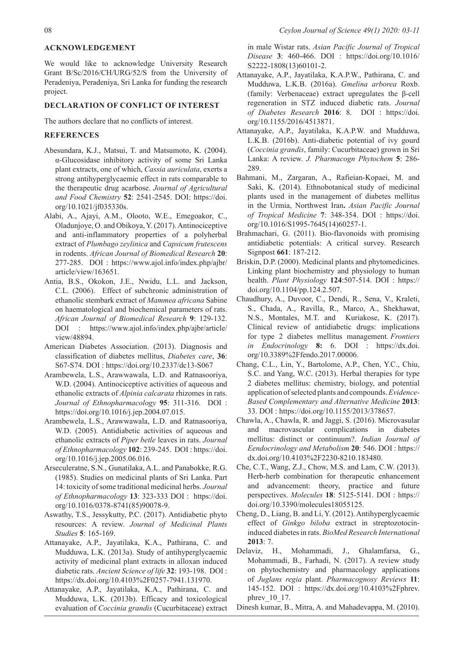# **ACKNOWLEDGEMENT**

We would like to acknowledge University Research Grant B/Sc/2016/CH/URG/52/S from the University of Peradeniya, Peradeniya, Sri Lanka for funding the research project.

### **DECLARATION OF CONFLICT OF INTEREST**

The authors declare that no conflicts of interest.

## **REFERENCES**

- Abesundara, K.J., Matsui, T. and Matsumoto, K. (2004). α-Glucosidase inhibitory activity of some Sri Lanka plant extracts, one of which, *Cassia auriculata*, exerts a strong antihyperglycaemic effect in rats comparable to the therapeutic drug acarbose. *Journal of Agricultural and Food Chemistry* **52**: 2541-2545. DOI: https://doi. org/10.1021/jf035330s.
- Alabi, A., Ajayi, A.M., Olooto, W.E., Emegoakor, C., Oladunjoye, O. and Obikoya, Y. (2017). Antinociceptive and anti-inflammatory properties of a polyherbal extract of *Plumbago zeylinica* and *Capsicum frutescens* in rodents. *African Journal of Biomedical Research* **20**: 277-285. DOI : https://www.ajol.info/index.php/ajbr/ article/view/163651.
- Antia, B.S., Okokon, J.E., Nwidu, L.L. and Jackson, C.L. (2006). Effect of subchronic administration of ethanolic stembark extract of *Mammea africana* Sabine on haematological and biochemical parameters of rats. *African Journal of Biomedical Research* **9**: 129-132. DOI : https://www.ajol.info/index.php/ajbr/article/ view/48894.
- American Diabetes Association. (2013). Diagnosis and classification of diabetes mellitus, *Diabetes care*, **36**: S67-S74. DOI : https://doi.org/10.2337/dc13-S067
- Arambewela, L.S., Arawwawala, L.D. and Ratnasooriya, W.D. (2004). Antinociceptive activities of aqueous and ethanolic extracts of *Alpinia calcarata* rhizomes in rats. *Journal of Ethnopharmacology* **95**: 311-316. DOI : https://doi.org/10.1016/j.jep.2004.07.015.
- Arambewela, L.S., Arawwawala, L.D. and Ratnasooriya, W.D. (2005). Antidiabetic activities of aqueous and ethanolic extracts of *Piper betle* leaves in rats. *Journal of Ethnopharmacology* **102**: 239-245. DOI : https://doi. org/10.1016/j.jep.2005.06.016.
- Arseculeratne, S.N., Gunatilaka, A.L. and Panabokke, R.G. (1985). Studies on medicinal plants of Sri Lanka. Part 14: toxicity of some traditional medicinal herbs. *Journal of Ethnopharmacology* **13**: 323-333 DOI : https://doi. org/10.1016/0378-8741(85)90078-9.
- Aswathy, T.S., Jessykutty, P.C. (2017). Antidiabetic phyto resources: A review. *Journal of Medicinal Plants Studies* **5**: 165-169.
- Attanayake, A.P., Jayatilaka, K.A., Pathirana, C. and Mudduwa, L.K. (2013a). Study of antihyperglycaemic activity of medicinal plant extracts in alloxan induced diabetic rats. *Ancient Science of life* **32**: 193-198. DOI : https://dx.doi.org/10.4103%2F0257-7941.131970.
- Attanayake, A.P., Jayatilaka, K.A., Pathirana, C. and Mudduwa, L.K. (2013b). Efficacy and toxicological evaluation of *Coccinia grandis* (Cucurbitaceae) extract

in male Wistar rats. *Asian Pacific Journal of Tropical Disease* **3**: 460-466. DOI : https://doi.org/10.1016/ S2222-1808(13)60101-2.

- Attanayake, A.P., Jayatilaka, K.A.P.W., Pathirana, C. and Mudduwa, L.K.B. (2016a). *Gmelina arborea* Roxb. (family: Verbenaceae) extract upregulates the β-cell regeneration in STZ induced diabetic rats. *Journal of Diabetes Research* **2016**: 8. DOI : https://doi. org/10.1155/2016/4513871.
- Attanayake, A.P., Jayatilaka, K.A.P.W. and Mudduwa, L.K.B. (2016b). Anti-diabetic potential of ivy gourd (*Coccinia grandis*, family: Cucurbitaceae) grown in Sri Lanka: A review. *J. Pharmacogn Phytochem* **5**: 286-289.
- Bahmani, M., Zargaran, A., Rafieian-Kopaei, M. and Saki, K. (2014). Ethnobotanical study of medicinal plants used in the management of diabetes mellitus in the Urmia, Northwest Iran**.** *Asian Pacific Journal of Tropical Medicine* **7**: 348-354. DOI : https://doi. org/10.1016/S1995-7645(14)60257-1.
- Brahmachari, G. (2011). Bio-flavonoids with promising antidiabetic potentials: A critical survey. Research Signpost **661**: 187-212.
- Briskin, D.P. (2000). Medicinal plants and phytomedicines. Linking plant biochemistry and physiology to human health. *Plant Physiology* **124**:507-514. DOI : https:// doi.org/10.1104/pp.124.2.507.
- Chaudhury, A., Duvoor, C., Dendi, R., Sena, V., Kraleti, S., Chada, A., Ravilla, R., Marco, A., Shekhawat, N.S., Montales, M.T. and Kuriakose, K. (2017). Clinical review of antidiabetic drugs: implications for type 2 diabetes mellitus management. *Frontiers in Endocrinology* **8:** 6. DOI : https://dx.doi. org/10.3389%2Ffendo.2017.00006.
- Chang, C.L., Lin, Y., Bartolome, A.P., Chen, Y.C., Chiu, S.C. and Yang, W.C. (2013). Herbal therapies for type 2 diabetes mellitus: chemistry, biology, and potential application of selected plants and compounds. *Evidence-Based Complementary and Alternative Medicine* **2013**: 33. DOI : https://doi.org/10.1155/2013/378657.
- Chawla, A., Chawla, R. and Jaggi, S. (2016). Microvasular and macrovascular complications in diabetes mellitus: distinct or continuum?. *Indian Iournal of Eendocrinology and Metabolism* **20**: 546. DOI : https:// dx.doi.org/10.4103%2F2230-8210.183480.
- Che, C.T., Wang, Z.J., Chow, M.S. and Lam, C.W. (2013). Herb-herb combination for therapeutic enhancement and advancement: theory, practice and future perspectives. *Molecules* **18**: 5125-5141. DOI : https:// doi.org/10.3390/molecules18055125.
- Cheng, D., Liang, B. and Li, Y. (2012). Antihyperglycaemic effect of *Ginkgo biloba* extract in streptozotocininduced diabetes in rats. *BioMed Research International* **2013**: 7.
- Delaviz, H., Mohammadi, J., Ghalamfarsa, G., Mohammadi, B., Farhadi, N. (2017). A review study on phytochemistry and pharmacology applications of *Juglans regia* plant. *Pharmacognosy Reviews* **11**: 145-152. DOI : https://dx.doi.org/10.4103%2Fphrev. phrev\_10\_17.
- Dinesh kumar, B., Mitra, A. and Mahadevappa, M. (2010).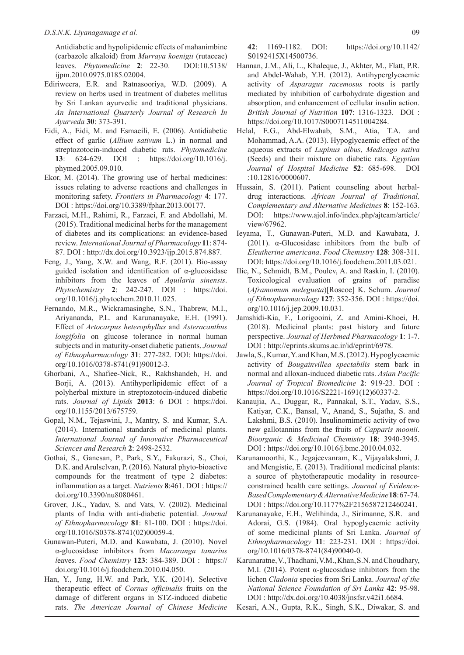Antidiabetic and hypolipidemic effects of mahanimbine (carbazole alkaloid) from *Murraya koenigii* (rutaceae) leaves. *Phytomedicine* **2**: 22-30. DOI:10.5138/ ijpm.2010.0975.0185.02004.

- Ediriweera, E.R. and Ratnasooriya, W.D. (2009). A review on herbs used in treatment of diabetes mellitus by Sri Lankan ayurvedic and traditional physicians. *An International Quarterly Journal of Research In Ayurveda* **30**: 373-391.
- Eidi, A., Eidi, M. and Esmaeili, E. (2006). Antidiabetic effect of garlic (*Allium sativum* L.) in normal and streptozotocin-induced diabetic rats. *Phytomedicine* **13**: 624-629. DOI : https://doi.org/10.1016/j. phymed.2005.09.010.
- Ekor, M. (2014). The growing use of herbal medicines: issues relating to adverse reactions and challenges in monitoring safety. *Frontiers in Pharmacology* **4**: 177. DOI : https://doi.org/10.3389/fphar.2013.00177.
- Farzaei, M.H., Rahimi, R., Farzaei, F. and Abdollahi, M. (2015). Traditional medicinal herbs for the management of diabetes and its complications: an evidence-based review. *International Journal of Pharmacology* **11**: 874-87. DOI : http://dx.doi.org/10.3923/ijp.2015.874.887.
- Feng, J., Yang, X.W. and Wang, R.F. (2011). Bio-assay guided isolation and identification of α-glucosidase inhibitors from the leaves of *Aquilaria sinensis*. *Phytochemistry* **2**: 242-247. DOI : https://doi. org/10.1016/j.phytochem.2010.11.025.
- Fernando, M.R., Wickramasinghe, S.N., Thabrew, M.I., Ariyananda, P.L. and Karunanayake, E.H. (1991). Effect of *Artocarpus heterophyllus* and *Asteracanthus longifolia* on glucose tolerance in normal human subjects and in maturity-onset diabetic patients. *Journal of Ethnopharmacology* **31**: 277-282. DOI: https://doi. org/10.1016/0378-8741(91)90012-3.
- Ghorbani, A., Shafiee-Nick, R., Rakhshandeh, H. and Borji, A. (2013). Antihyperlipidemic effect of a polyherbal mixture in streptozotocin-induced diabetic rats. *Journal of Lipids* **2013**: 6 DOI : https://doi. org/10.1155/2013/675759.
- Gopal, N.M., Tejaswini, J., Mantry, S. and Kumar, S.A. (2014). International standards of medicinal plants. *International Journal of Innovative Pharmaceutical Sciences and Research* **2**: 2498-2532.
- Gothai, S., Ganesan, P., Park, S.Y., Fakurazi, S., Choi, D.K. and Arulselvan, P. (2016). Natural phyto-bioactive compounds for the treatment of type 2 diabetes: inflammation as a target. *Nutrients* **8**:461. DOI : https:// doi.org/10.3390/nu8080461.
- Grover, J.K., Yadav, S. and Vats, V. (2002). Medicinal plants of India with anti-diabetic potential. *Journal of Ethnopharmacology* **81**: 81-100. DOI : https://doi. org/10.1016/S0378-8741(02)00059-4.
- Gunawan-Puteri, M.D. and Kawabata, J. (2010). Novel α-glucosidase inhibitors from *Macaranga tanarius l*eaves. *Food Chemistry* **123**: 384-389. DOI : https:// doi.org/10.1016/j.foodchem.2010.04.050.
- Han, Y., Jung, H.W. and Park, Y.K. (2014). Selective therapeutic effect of *Cornus officinalis* fruits on the damage of different organs in STZ-induced diabetic rats. *The American Journal of Chinese Medicine*

**42**: 1169-1182. DOI: https://doi.org/10.1142/ S0192415X14500736.

- Hannan, J.M., Ali, L., Khaleque, J., Akhter, M., Flatt, P.R. and Abdel-Wahab, Y.H. (2012). Antihyperglycaemic activity of *Asparagus racemosus* roots is partly mediated by inhibition of carbohydrate digestion and absorption, and enhancement of cellular insulin action. *British Journal of Nutrition* **107**: 1316-1323. DOI : https://doi.org/10.1017/S0007114511004284.
- Helal, E.G., Abd-Elwahab, S.M., Atia, T.A. and Mohammad, A.A. (2013). Hypoglycaemic effect of the aqueous extracts of *Lupinus albus*, *Medicago sativa* (Seeds) and their mixture on diabetic rats. *Egyptian Journal of Hospital Medicine* **52**: 685-698. DOI :10.12816/0000607.
- Hussain, S. (2011). Patient counseling about herbaldrug interactions. *African Journal of Traditional, Complementary and Alternative Medicines* **8**: 152-163. DOI: https://www.ajol.info/index.php/ajtcam/article/ view/67962.
- Ieyama, T., Gunawan-Puteri, M.D. and Kawabata, J. (2011). α-Glucosidase inhibitors from the bulb of *Eleutherine americana*. *Food Chemistry* **128**: 308-311. DOI: https://doi.org/10.1016/j.foodchem.2011.03.021.
- Ilic, N., Schmidt, B.M., Poulev, A. and Raskin, I. (2010). Toxicological evaluation of grains of paradise (*Aframomum melegueta*)[Roscoe] K. Schum. *Journal of Ethnopharmacology* **127**: 352-356. DOI : https://doi. org/10.1016/j.jep.2009.10.031.
- Jamshidi-Kia, F., Lorigooini, Z. and Amini-Khoei, H. (2018). Medicinal plants: past history and future perspective. *Journal of Herbmed Pharmacology* **1**: 1-7. DOI : http://eprints.skums.ac.ir/id/eprint/6978.
- Jawla, S., Kumar, Y. and Khan, M.S. (2012). Hypoglycaemic activity of *Bougainvillea spectabilis* stem bark in normal and alloxan-induced diabetic rats. *Asian Pacific Journal of Tropical Biomedicine* **2**: 919-23. DOI : https://doi.org/10.1016/S2221-1691(12)60337-2.
- Kanaujia, A., Duggar, R., Pannakal, S.T., Yadav, S.S., Katiyar, C.K., Bansal, V., Anand, S., Sujatha, S. and Lakshmi, B.S. (2010). Insulinomimetic activity of two new gallotannins from the fruits of *Capparis moonii*. *Bioorganic & Medicinal Chemistry* **18**: 3940-3945. DOI : https://doi.org/10.1016/j.bmc.2010.04.032.
- Karunamoorthi, K., Jegajeevanram, K., Vijayalakshmi, J. and Mengistie, E. (2013). Traditional medicinal plants: a source of phytotherapeutic modality in resourceconstrained health care settings. *Journal of Evidence-Based Complementary & Alternative Medicine***18**: 67-74. DOI : https://doi.org/10.1177%2F2156587212460241.
- Karunanayake, E.H., Welihinda, J., Sirimanne, S.R. and Adorai, G.S. (1984). Oral hypoglycaemic activity of some medicinal plants of Sri Lanka. *Journal of Ethnopharmacology* **11**: 223-231. DOI : https://doi. org/10.1016/0378-8741(84)90040-0.
- Karunaratne, V., Thadhani, V.M., Khan, S.N. and Choudhary, M.I. (2014). Potent  $\alpha$ -glucosidase inhibitors from the lichen *Cladonia* species from Sri Lanka. *Journal of the National Science Foundation of Sri Lanka* **42**: 95-98. DOI : http://dx.doi.org/10.4038/jnsfsr.v42i1.6684.
- Kesari, A.N., Gupta, R.K., Singh, S.K., Diwakar, S. and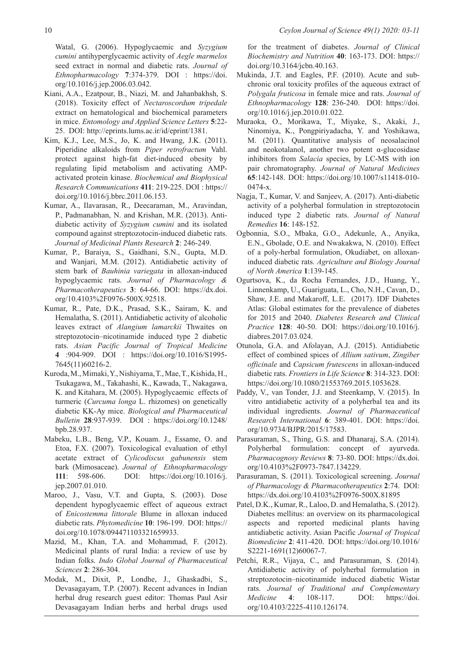Watal, G. (2006). Hypoglycaemic and *Syzygium cumini* antihyperglycaemic activity of *Aegle marmelos* seed extract in normal and diabetic rats. *Journal of Ethnopharmacology* **7**:374-379. DOI : https://doi. org/10.1016/j.jep.2006.03.042.

- Kiani, A.A., Ezatpour, B., Niazi, M. and Jahanbakhsh, S. (2018). Toxicity effect of *Nectaroscordum tripedale*  extract on hematological and biochemical parameters in mice. *Entomology and Applied Science Letters* **5**:22-25. DOI: http://eprints.lums.ac.ir/id/eprint/1381.
- Kim, K.J., Lee, M.S., Jo, K. and Hwang, J.K. (2011). Piperidine alkaloids from *Piper retrofractum* Vahl. protect against high-fat diet-induced obesity by regulating lipid metabolism and activating AMPactivated protein kinase. *Biochemical and Biophysical Research Communications* **411**: 219-225. DOI : https:// doi.org/10.1016/j.bbrc.2011.06.153.
- Kumar, A., Ilavarasan, R., Deecaraman, M., Aravindan, P., Padmanabhan, N. and Krishan, M.R. (2013). Antidiabetic activity of *Syzygium cumini* and its isolated compound against streptozotocin-induced diabetic rats. *Journal of Medicinal Plants Research* **2**: 246-249.
- Kumar, P., Baraiya, S., Gaidhani, S.N., Gupta, M.D. and Wanjari, M.M. (2012). Antidiabetic activity of stem bark of *Bauhinia variegata* in alloxan-induced hypoglycaemic rats. *Journal of Pharmacology & Pharmacotherapeutics* **3**: 64-66. DOI: https://dx.doi. org/10.4103%2F0976-500X.92518.
- Kumar, R., Pate, D.K., Prasad, S.K., Sairam, K. and Hemalatha, S. (2011). Antidiabetic activity of alcoholic leaves extract of *Alangium lamarckii* Thwaites on streptozotocin–nicotinamide induced type 2 diabetic rats. *Asian Pacific Journal of Tropical Medicine* **4** :904-909. DOI : https://doi.org/10.1016/S1995-7645(11)60216-2.
- Kuroda, M., Mimaki, Y., Nishiyama, T., Mae, T., Kishida, H., Tsukagawa, M., Takahashi, K., Kawada, T., Nakagawa, K. and Kitahara, M. (2005). Hypoglycaemic effects of turmeric (*Curcuma longa* L. rhizomes) on genetically diabetic KK-Ay mice. *Biological and Pharmaceutical Bulletin* **28**:937-939. DOI : https://doi.org/10.1248/ bpb.28.937.
- Mabeku, L.B., Beng, V.P., Kouam. J., Essame, O. and Etoa, F.X. (2007). Toxicological evaluation of ethyl acetate extract of *Cylicodiscus gabunensis* stem bark (Mimosaceae). *Journal of Ethnopharmacology* **111**: 598-606. DOI: https://doi.org/10.1016/j. jep.2007.01.010.
- Maroo, J., Vasu, V.T. and Gupta, S. (2003). Dose dependent hypoglycaemic effect of aqueous extract of *Enicostemma littorale* Blume in alloxan induced diabetic rats. *Phytomedicine* **10**: 196-199. DOI: https:// doi.org/10.1078/094471103321659933.
- Mazid, M., Khan, T.A. and Mohammad, F. (2012). Medicinal plants of rural India: a review of use by Indian folks. *Indo Global Journal of Pharmaceutical Sciences* **2**: 286-304.
- Modak, M., Dixit, P., Londhe, J., Ghaskadbi, S., Devasagayam, T.P. (2007). Recent advances in Indian herbal drug research guest editor: Thomas Paul Asir Devasagayam Indian herbs and herbal drugs used

for the treatment of diabetes. *Journal of Clinical Biochemistry and Nutrition* **40**: 163-173. DOI: https:// doi.org/10.3164/jcbn.40.163.

- Mukinda, J.T. and Eagles, P.F. (2010). Acute and subchronic oral toxicity profiles of the aqueous extract of *Polygala fruticosa* in female mice and rats. *Journal of Ethnopharmacology* **128**: 236-240. DOI: https://doi. org/10.1016/j.jep.2010.01.022.
- Muraoka, O., Morikawa, T., Miyake, S., Akaki, J., Ninomiya, K., Pongpiriyadacha, Y. and Yoshikawa, M. (2011). Quantitative analysis of neosalacinol and neokotalanol, another two potent α-glucosidase inhibitors from *Salacia* species, by LC-MS with ion pair chromatography. *Journal of Natural Medicines* **65**:142-148. DOI: https://doi.org/10.1007/s11418-010-0474-x.
- Nagja, T., Kumar, V. and Sanjeev, A. (2017). Anti-diabetic activity of a polyherbal formulation in streptozotocin induced type 2 diabetic rats. *Journal of Natural Remedies* **16**: 148-152.
- Ogbonnia, S.O., Mbaka, G.O., Adekunle, A., Anyika, E.N., Gbolade, O.E. and Nwakakwa, N. (2010). Effect of a poly-herbal formulation, Okudiabet, on alloxaninduced diabetic rats. *Agriculture and Biology Journal of North America* **1**:139-145.
- Ogurtsova, K., da Rocha Fernandes, J.D., Huang, Y., Linnenkamp, U., Guariguata, L., Cho, N.H., Cavan, D., Shaw, J.E. and Makaroff, L.E. (2017). IDF Diabetes Atlas: Global estimates for the prevalence of diabetes for 2015 and 2040. *Diabetes Research and Clinical Practice* **128**: 40-50. DOI: https://doi.org/10.1016/j. diabres.2017.03.024.
- Otunola, G.A. and Afolayan, A.J. (2015). Antidiabetic effect of combined spices of *Allium sativum*, *Zingiber officinale* and *Capsicum frutescens* in alloxan-induced diabetic rats. *Frontiers in Life Science* **8**: 314-323. DOI: https://doi.org/10.1080/21553769.2015.1053628.
- Paddy, V., van Tonder, J.J. and Steenkamp, V. (2015). In vitro antidiabetic activity of a polyherbal tea and its individual ingredients. *Journal of Pharmaceutical Research International* **6**: 389-401. DOI: https://doi. org/10.9734/BJPR/2015/17583.
- Parasuraman, S., Thing, G.S. and Dhanaraj, S.A. (2014). Polyherbal formulation: concept of ayurveda. *Pharmacognosy Reviews* **8**: 73-80. DOI: https://dx.doi. org/10.4103%2F0973-7847.134229.
- Parasuraman, S. (2011). Toxicological screening. *Journal of Pharmacology & Pharmacotherapeutics* **2**:74. DOI: https://dx.doi.org/10.4103%2F0976-500X.81895
- Patel, D.K., Kumar, R., Laloo, D. and Hemalatha, S. (2012). Diabetes mellitus: an overview on its pharmacological aspects and reported medicinal plants having antidiabetic activity. Asian Pacific *Journal of Tropical Biomedicine* **2**: 411-420. DOI: https://doi.org/10.1016/ S2221-1691(12)60067-7.
- Petchi, R.R., Vijaya, C., and Parasuraman, S. (2014). Antidiabetic activity of polyherbal formulation in streptozotocin–nicotinamide induced diabetic Wistar rats. *Journal of Traditional and Complementary Medicine* **4**: 108-117. DOI: https://doi. org/10.4103/2225-4110.126174.